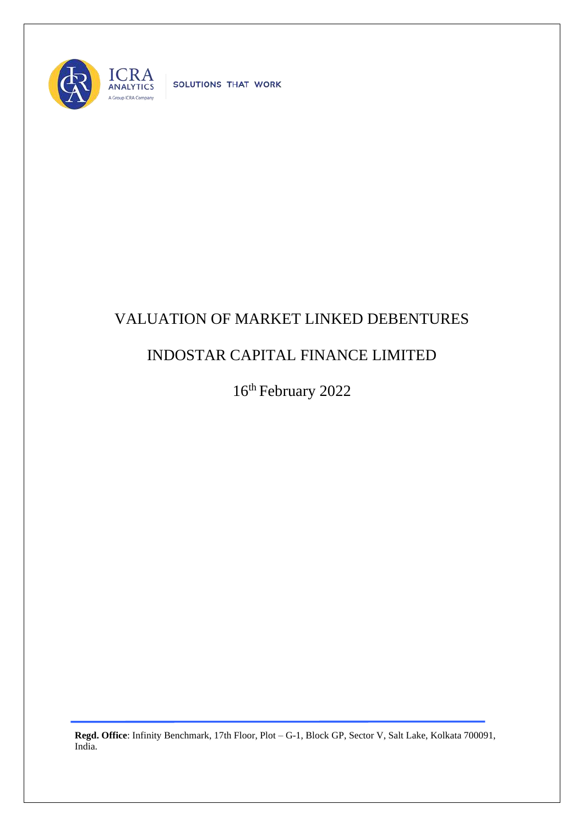

SOLUTIONS THAT WORK

## VALUATION OF MARKET LINKED DEBENTURES

## INDOSTAR CAPITAL FINANCE LIMITED

16th February 2022

**Regd. Office**: Infinity Benchmark, 17th Floor, Plot – G-1, Block GP, Sector V, Salt Lake, Kolkata 700091, India.